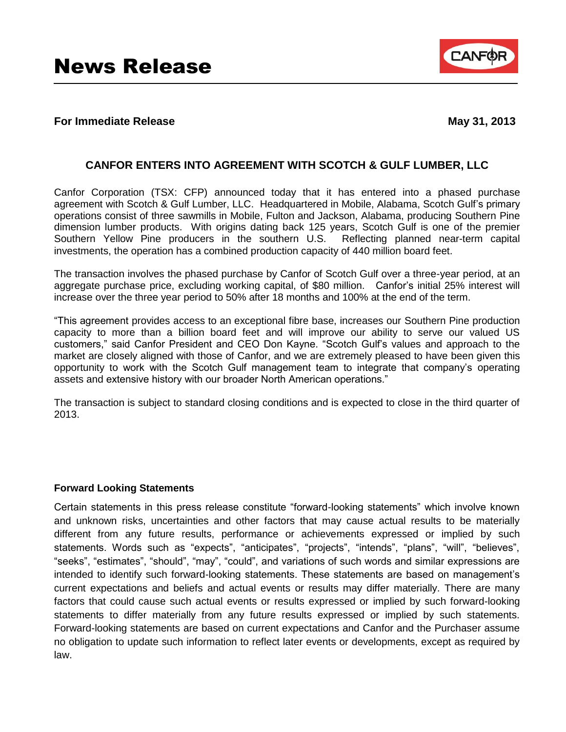

## **For Immediate Release May 31, 2013**

## **CANFOR ENTERS INTO AGREEMENT WITH SCOTCH & GULF LUMBER, LLC**

Canfor Corporation (TSX: CFP) announced today that it has entered into a phased purchase agreement with Scotch & Gulf Lumber, LLC. Headquartered in Mobile, Alabama, Scotch Gulf's primary operations consist of three sawmills in Mobile, Fulton and Jackson, Alabama, producing Southern Pine dimension lumber products. With origins dating back 125 years, Scotch Gulf is one of the premier Southern Yellow Pine producers in the southern U.S. Reflecting planned near-term capital investments, the operation has a combined production capacity of 440 million board feet.

The transaction involves the phased purchase by Canfor of Scotch Gulf over a three-year period, at an aggregate purchase price, excluding working capital, of \$80 million. Canfor's initial 25% interest will increase over the three year period to 50% after 18 months and 100% at the end of the term.

"This agreement provides access to an exceptional fibre base, increases our Southern Pine production capacity to more than a billion board feet and will improve our ability to serve our valued US customers," said Canfor President and CEO Don Kayne. "Scotch Gulf's values and approach to the market are closely aligned with those of Canfor, and we are extremely pleased to have been given this opportunity to work with the Scotch Gulf management team to integrate that company's operating assets and extensive history with our broader North American operations."

The transaction is subject to standard closing conditions and is expected to close in the third quarter of 2013.

### **Forward Looking Statements**

Certain statements in this press release constitute "forward-looking statements" which involve known and unknown risks, uncertainties and other factors that may cause actual results to be materially different from any future results, performance or achievements expressed or implied by such statements. Words such as "expects", "anticipates", "projects", "intends", "plans", "will", "believes", "seeks", "estimates", "should", "may", "could", and variations of such words and similar expressions are intended to identify such forward-looking statements. These statements are based on management's current expectations and beliefs and actual events or results may differ materially. There are many factors that could cause such actual events or results expressed or implied by such forward-looking statements to differ materially from any future results expressed or implied by such statements. Forward-looking statements are based on current expectations and Canfor and the Purchaser assume no obligation to update such information to reflect later events or developments, except as required by law.